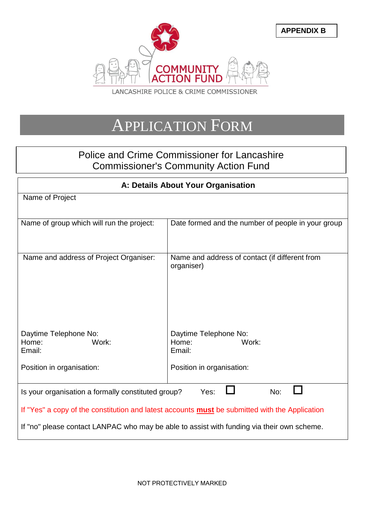

# APPLICATION FORM

# Police and Crime Commissioner for Lancashire Commissioner's Community Action Fund

| A: Details About Your Organisation                                                                    |                                                              |
|-------------------------------------------------------------------------------------------------------|--------------------------------------------------------------|
| Name of Project                                                                                       |                                                              |
|                                                                                                       |                                                              |
| Name of group which will run the project:                                                             | Date formed and the number of people in your group           |
|                                                                                                       |                                                              |
| Name and address of Project Organiser:                                                                | Name and address of contact (if different from<br>organiser) |
|                                                                                                       |                                                              |
|                                                                                                       |                                                              |
| Daytime Telephone No:<br>Home:<br>Work:<br>Email:                                                     | Daytime Telephone No:<br>Work:<br>Home:<br>Email:            |
| Position in organisation:                                                                             | Position in organisation:                                    |
| Is your organisation a formally constituted group?<br>Yes:<br>No:                                     |                                                              |
| If "Yes" a copy of the constitution and latest accounts <b>must</b> be submitted with the Application |                                                              |
| If "no" please contact LANPAC who may be able to assist with funding via their own scheme.            |                                                              |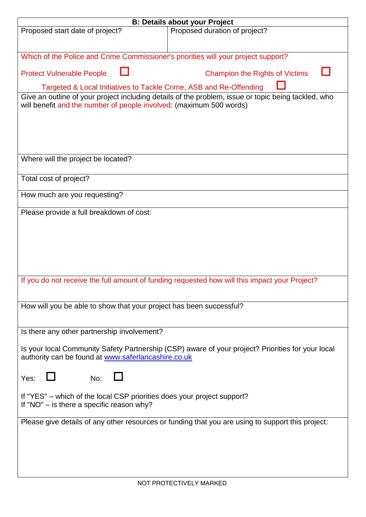| <b>B: Details about your Project</b>                                                                |                                       |  |
|-----------------------------------------------------------------------------------------------------|---------------------------------------|--|
| Proposed start date of project?                                                                     | Proposed duration of project?         |  |
|                                                                                                     |                                       |  |
|                                                                                                     |                                       |  |
| Which of the Police and Crime Commissioner's priorities will your project support?                  |                                       |  |
|                                                                                                     |                                       |  |
| <b>Protect Vulnerable People</b>                                                                    | <b>Champion the Rights of Victims</b> |  |
| Targeted & Local Initiatives to Tackle Crime, ASB and Re-Offending                                  |                                       |  |
| Give an outline of your project including details of the problem, issue or topic being tackled, who |                                       |  |
| will benefit and the number of people involved: (maximum 500 words)                                 |                                       |  |
|                                                                                                     |                                       |  |
|                                                                                                     |                                       |  |
|                                                                                                     |                                       |  |
|                                                                                                     |                                       |  |
|                                                                                                     |                                       |  |
| Where will the project be located?                                                                  |                                       |  |
|                                                                                                     |                                       |  |
| Total cost of project?                                                                              |                                       |  |
| How much are you requesting?                                                                        |                                       |  |
|                                                                                                     |                                       |  |
| Please provide a full breakdown of cost:                                                            |                                       |  |
|                                                                                                     |                                       |  |
|                                                                                                     |                                       |  |
|                                                                                                     |                                       |  |
|                                                                                                     |                                       |  |
|                                                                                                     |                                       |  |
|                                                                                                     |                                       |  |
|                                                                                                     |                                       |  |
| If you do not receive the full amount of funding requested how will this impact your Project?       |                                       |  |
|                                                                                                     |                                       |  |
| How will you be able to show that your project has been successful?                                 |                                       |  |
|                                                                                                     |                                       |  |
|                                                                                                     |                                       |  |
| Is there any other partnership involvement?                                                         |                                       |  |
|                                                                                                     |                                       |  |
| Is your local Community Safety Partnership (CSP) aware of your project? Priorities for your local   |                                       |  |
| authority can be found at www.saferlancashire.co.uk                                                 |                                       |  |
|                                                                                                     |                                       |  |
| No:<br>Yes:                                                                                         |                                       |  |
|                                                                                                     |                                       |  |
| If "YES" – which of the local CSP priorities does your project support?                             |                                       |  |
| If "NO" $-$ is there a specific reason why?                                                         |                                       |  |
|                                                                                                     |                                       |  |
| Please give details of any other resources or funding that you are using to support this project:   |                                       |  |
|                                                                                                     |                                       |  |
|                                                                                                     |                                       |  |
|                                                                                                     |                                       |  |
|                                                                                                     |                                       |  |
|                                                                                                     |                                       |  |